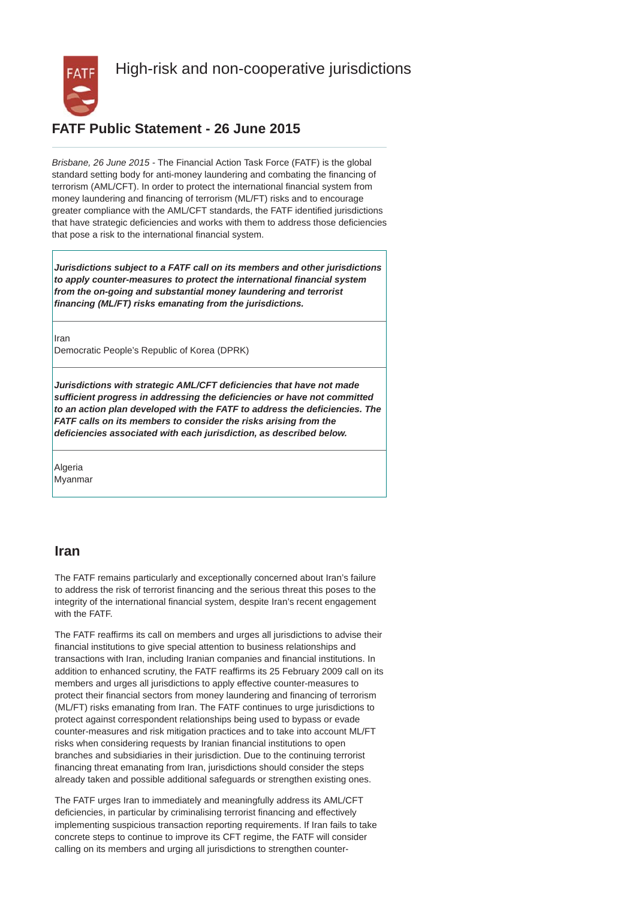

# High-risk and non-cooperative jurisdictions

## **FATF Public Statement - 26 June 2015**

*Brisbane, 26 June 2015 -* The Financial Action Task Force (FATF) is the global standard setting body for anti-money laundering and combating the financing of terrorism (AML/CFT). In order to protect the international financial system from money laundering and financing of terrorism (ML/FT) risks and to encourage greater compliance with the AML/CFT standards, the FATF identified jurisdictions that have strategic deficiencies and works with them to address those deficiencies that pose a risk to the international financial system.

*Jurisdictions subject to a FATF call on its members and other jurisdictions to apply counter-measures to protect the international financial system from the on-going and substantial money laundering and terrorist financing (ML/FT) risks emanating from the jurisdictions.*

Iran Democratic People's Republic of Korea (DPRK)

*Jurisdictions with strategic AML/CFT deficiencies that have not made sufficient progress in addressing the deficiencies or have not committed to an action plan developed with the FATF to address the deficiencies. The FATF calls on its members to consider the risks arising from the deficiencies associated with each jurisdiction, as described below.*

Algeria Myanmar

#### **Iran**

The FATF remains particularly and exceptionally concerned about Iran's failure to address the risk of terrorist financing and the serious threat this poses to the integrity of the international financial system, despite Iran's recent engagement with the FATF.

The FATF reaffirms its call on members and urges all jurisdictions to advise their financial institutions to give special attention to business relationships and transactions with Iran, including Iranian companies and financial institutions. In addition to enhanced scrutiny, the FATF reaffirms its 25 February 2009 call on its members and urges all jurisdictions to apply effective counter-measures to protect their financial sectors from money laundering and financing of terrorism (ML/FT) risks emanating from Iran. The FATF continues to urge jurisdictions to protect against correspondent relationships being used to bypass or evade counter-measures and risk mitigation practices and to take into account ML/FT risks when considering requests by Iranian financial institutions to open branches and subsidiaries in their jurisdiction. Due to the continuing terrorist financing threat emanating from Iran, jurisdictions should consider the steps already taken and possible additional safeguards or strengthen existing ones.

The FATF urges Iran to immediately and meaningfully address its AML/CFT deficiencies, in particular by criminalising terrorist financing and effectively implementing suspicious transaction reporting requirements. If Iran fails to take concrete steps to continue to improve its CFT regime, the FATF will consider calling on its members and urging all jurisdictions to strengthen counter